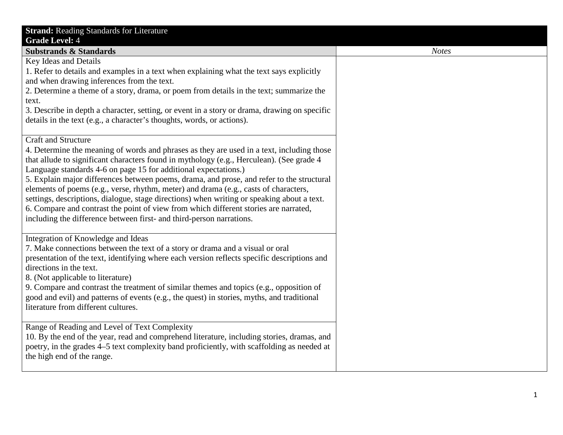| <b>Strand: Reading Standards for Literature</b>                                                                              |  |
|------------------------------------------------------------------------------------------------------------------------------|--|
| <b>Grade Level: 4</b>                                                                                                        |  |
| <b>Substrands &amp; Standards</b>                                                                                            |  |
| Key Ideas and Details                                                                                                        |  |
| 1. Refer to details and examples in a text when explaining what the text says explicitly                                     |  |
| and when drawing inferences from the text.                                                                                   |  |
| 2. Determine a theme of a story, drama, or poem from details in the text; summarize the                                      |  |
| text.                                                                                                                        |  |
| 3. Describe in depth a character, setting, or event in a story or drama, drawing on specific                                 |  |
| details in the text (e.g., a character's thoughts, words, or actions).                                                       |  |
| <b>Craft and Structure</b>                                                                                                   |  |
| 4. Determine the meaning of words and phrases as they are used in a text, including those                                    |  |
| that allude to significant characters found in mythology (e.g., Herculean). (See grade 4                                     |  |
| Language standards 4-6 on page 15 for additional expectations.)                                                              |  |
| 5. Explain major differences between poems, drama, and prose, and refer to the structural                                    |  |
| elements of poems (e.g., verse, rhythm, meter) and drama (e.g., casts of characters,                                         |  |
| settings, descriptions, dialogue, stage directions) when writing or speaking about a text.                                   |  |
| 6. Compare and contrast the point of view from which different stories are narrated,                                         |  |
| including the difference between first- and third-person narrations.                                                         |  |
|                                                                                                                              |  |
| Integration of Knowledge and Ideas                                                                                           |  |
| 7. Make connections between the text of a story or drama and a visual or oral                                                |  |
| presentation of the text, identifying where each version reflects specific descriptions and                                  |  |
| directions in the text.                                                                                                      |  |
| 8. (Not applicable to literature)<br>9. Compare and contrast the treatment of similar themes and topics (e.g., opposition of |  |
| good and evil) and patterns of events (e.g., the quest) in stories, myths, and traditional                                   |  |
| literature from different cultures.                                                                                          |  |
|                                                                                                                              |  |
| Range of Reading and Level of Text Complexity                                                                                |  |
| 10. By the end of the year, read and comprehend literature, including stories, dramas, and                                   |  |
| poetry, in the grades 4–5 text complexity band proficiently, with scaffolding as needed at                                   |  |
| the high end of the range.                                                                                                   |  |
|                                                                                                                              |  |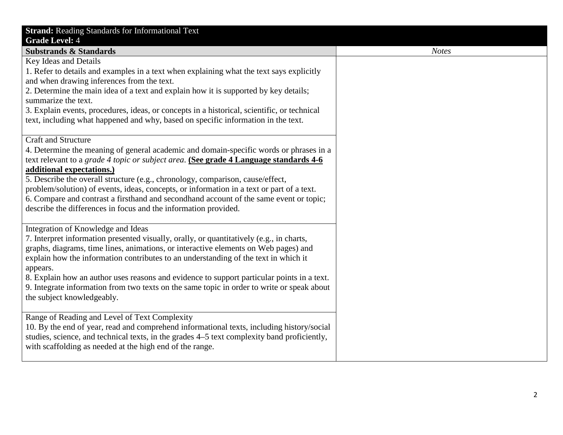| <b>Strand:</b> Reading Standards for Informational Text<br><b>Grade Level: 4</b>                                                                                                                                                                                                                                                                                                                                                                                                                                                                                                       |              |
|----------------------------------------------------------------------------------------------------------------------------------------------------------------------------------------------------------------------------------------------------------------------------------------------------------------------------------------------------------------------------------------------------------------------------------------------------------------------------------------------------------------------------------------------------------------------------------------|--------------|
| <b>Substrands &amp; Standards</b>                                                                                                                                                                                                                                                                                                                                                                                                                                                                                                                                                      | <b>Notes</b> |
| Key Ideas and Details<br>1. Refer to details and examples in a text when explaining what the text says explicitly<br>and when drawing inferences from the text.<br>2. Determine the main idea of a text and explain how it is supported by key details;<br>summarize the text.<br>3. Explain events, procedures, ideas, or concepts in a historical, scientific, or technical<br>text, including what happened and why, based on specific information in the text.                                                                                                                     |              |
| <b>Craft and Structure</b><br>4. Determine the meaning of general academic and domain-specific words or phrases in a<br>text relevant to a grade 4 topic or subject area. (See grade 4 Language standards 4-6<br>additional expectations.)<br>5. Describe the overall structure (e.g., chronology, comparison, cause/effect,<br>problem/solution) of events, ideas, concepts, or information in a text or part of a text.<br>6. Compare and contrast a firsthand and secondhand account of the same event or topic;<br>describe the differences in focus and the information provided. |              |
| Integration of Knowledge and Ideas<br>7. Interpret information presented visually, orally, or quantitatively (e.g., in charts,<br>graphs, diagrams, time lines, animations, or interactive elements on Web pages) and<br>explain how the information contributes to an understanding of the text in which it<br>appears.<br>8. Explain how an author uses reasons and evidence to support particular points in a text.<br>9. Integrate information from two texts on the same topic in order to write or speak about<br>the subject knowledgeably.                                     |              |
| Range of Reading and Level of Text Complexity<br>10. By the end of year, read and comprehend informational texts, including history/social<br>studies, science, and technical texts, in the grades 4–5 text complexity band proficiently,<br>with scaffolding as needed at the high end of the range.                                                                                                                                                                                                                                                                                  |              |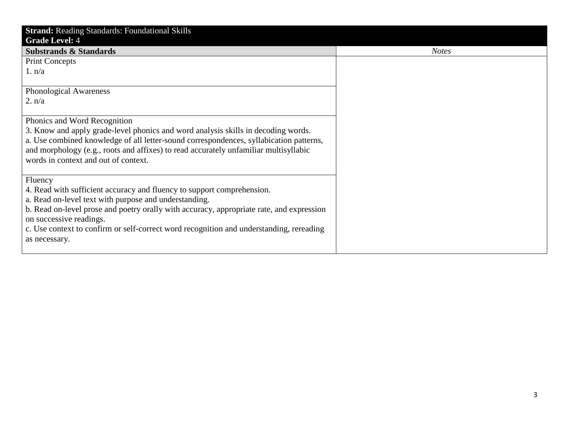| <b>Strand: Reading Standards: Foundational Skills</b>                                    |              |
|------------------------------------------------------------------------------------------|--------------|
| <b>Grade Level: 4</b>                                                                    |              |
| <b>Substrands &amp; Standards</b>                                                        | <b>Notes</b> |
| <b>Print Concepts</b>                                                                    |              |
| 1. n/a                                                                                   |              |
|                                                                                          |              |
| <b>Phonological Awareness</b>                                                            |              |
| 2. n/a                                                                                   |              |
|                                                                                          |              |
| Phonics and Word Recognition                                                             |              |
| 3. Know and apply grade-level phonics and word analysis skills in decoding words.        |              |
| a. Use combined knowledge of all letter-sound correspondences, syllabication patterns,   |              |
| and morphology (e.g., roots and affixes) to read accurately unfamiliar multisyllabic     |              |
| words in context and out of context.                                                     |              |
|                                                                                          |              |
| Fluency                                                                                  |              |
| 4. Read with sufficient accuracy and fluency to support comprehension.                   |              |
| a. Read on-level text with purpose and understanding.                                    |              |
| b. Read on-level prose and poetry orally with accuracy, appropriate rate, and expression |              |
| on successive readings.                                                                  |              |
| c. Use context to confirm or self-correct word recognition and understanding, rereading  |              |
| as necessary.                                                                            |              |
|                                                                                          |              |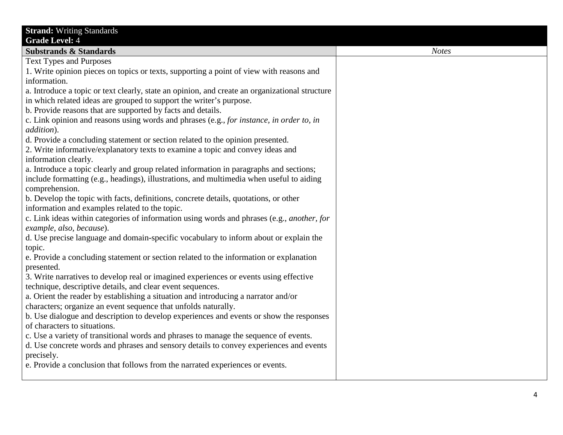| <b>Strand: Writing Standards</b>                                                               |              |
|------------------------------------------------------------------------------------------------|--------------|
| <b>Grade Level: 4</b>                                                                          |              |
| <b>Substrands &amp; Standards</b>                                                              | <b>Notes</b> |
| <b>Text Types and Purposes</b>                                                                 |              |
| 1. Write opinion pieces on topics or texts, supporting a point of view with reasons and        |              |
| information.                                                                                   |              |
| a. Introduce a topic or text clearly, state an opinion, and create an organizational structure |              |
| in which related ideas are grouped to support the writer's purpose.                            |              |
| b. Provide reasons that are supported by facts and details.                                    |              |
| c. Link opinion and reasons using words and phrases (e.g., for instance, in order to, in       |              |
| addition).                                                                                     |              |
| d. Provide a concluding statement or section related to the opinion presented.                 |              |
| 2. Write informative/explanatory texts to examine a topic and convey ideas and                 |              |
| information clearly.                                                                           |              |
| a. Introduce a topic clearly and group related information in paragraphs and sections;         |              |
| include formatting (e.g., headings), illustrations, and multimedia when useful to aiding       |              |
| comprehension.                                                                                 |              |
| b. Develop the topic with facts, definitions, concrete details, quotations, or other           |              |
| information and examples related to the topic.                                                 |              |
| c. Link ideas within categories of information using words and phrases (e.g., another, for     |              |
| example, also, because).                                                                       |              |
| d. Use precise language and domain-specific vocabulary to inform about or explain the          |              |
| topic.                                                                                         |              |
| e. Provide a concluding statement or section related to the information or explanation         |              |
| presented.                                                                                     |              |
| 3. Write narratives to develop real or imagined experiences or events using effective          |              |
| technique, descriptive details, and clear event sequences.                                     |              |
| a. Orient the reader by establishing a situation and introducing a narrator and/or             |              |
| characters; organize an event sequence that unfolds naturally.                                 |              |
| b. Use dialogue and description to develop experiences and events or show the responses        |              |
| of characters to situations.                                                                   |              |
| c. Use a variety of transitional words and phrases to manage the sequence of events.           |              |
| d. Use concrete words and phrases and sensory details to convey experiences and events         |              |
| precisely.                                                                                     |              |
| e. Provide a conclusion that follows from the narrated experiences or events.                  |              |
|                                                                                                |              |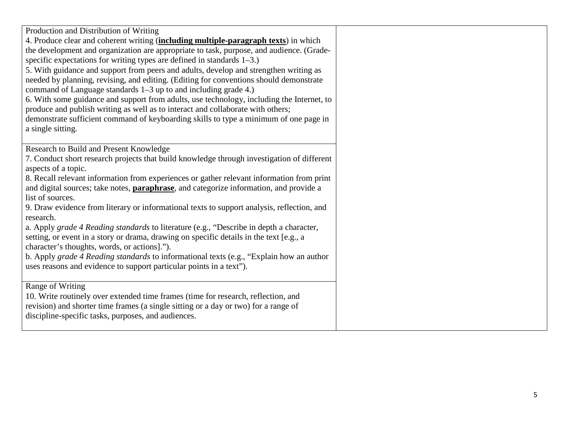| Production and Distribution of Writing<br>4. Produce clear and coherent writing (including multiple-paragraph texts) in which<br>the development and organization are appropriate to task, purpose, and audience. (Grade-<br>specific expectations for writing types are defined in standards $1-3$ .)<br>5. With guidance and support from peers and adults, develop and strengthen writing as<br>needed by planning, revising, and editing. (Editing for conventions should demonstrate<br>command of Language standards 1–3 up to and including grade 4.)<br>6. With some guidance and support from adults, use technology, including the Internet, to<br>produce and publish writing as well as to interact and collaborate with others;<br>demonstrate sufficient command of keyboarding skills to type a minimum of one page in<br>a single sitting. |  |
|------------------------------------------------------------------------------------------------------------------------------------------------------------------------------------------------------------------------------------------------------------------------------------------------------------------------------------------------------------------------------------------------------------------------------------------------------------------------------------------------------------------------------------------------------------------------------------------------------------------------------------------------------------------------------------------------------------------------------------------------------------------------------------------------------------------------------------------------------------|--|
| Research to Build and Present Knowledge<br>7. Conduct short research projects that build knowledge through investigation of different<br>aspects of a topic.<br>8. Recall relevant information from experiences or gather relevant information from print<br>and digital sources; take notes, <b>paraphrase</b> , and categorize information, and provide a<br>list of sources.                                                                                                                                                                                                                                                                                                                                                                                                                                                                            |  |
| 9. Draw evidence from literary or informational texts to support analysis, reflection, and<br>research.<br>a. Apply grade 4 Reading standards to literature (e.g., "Describe in depth a character,<br>setting, or event in a story or drama, drawing on specific details in the text [e.g., a<br>character's thoughts, words, or actions].").<br>b. Apply grade 4 Reading standards to informational texts (e.g., "Explain how an author<br>uses reasons and evidence to support particular points in a text").                                                                                                                                                                                                                                                                                                                                            |  |
| Range of Writing<br>10. Write routinely over extended time frames (time for research, reflection, and<br>revision) and shorter time frames (a single sitting or a day or two) for a range of<br>discipline-specific tasks, purposes, and audiences.                                                                                                                                                                                                                                                                                                                                                                                                                                                                                                                                                                                                        |  |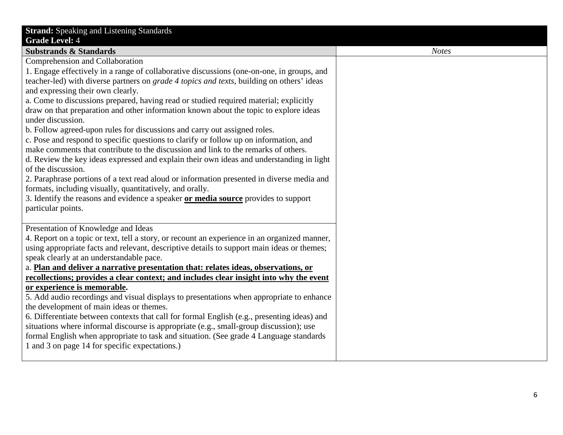| <b>Strand:</b> Speaking and Listening Standards<br><b>Grade Level: 4</b>                                                                                                                                                                                                                                                                                                                                                                                                                                                                                                                                                                                                                                                                                                                                                                                                                                                                                                                                                                                                                                                         |
|----------------------------------------------------------------------------------------------------------------------------------------------------------------------------------------------------------------------------------------------------------------------------------------------------------------------------------------------------------------------------------------------------------------------------------------------------------------------------------------------------------------------------------------------------------------------------------------------------------------------------------------------------------------------------------------------------------------------------------------------------------------------------------------------------------------------------------------------------------------------------------------------------------------------------------------------------------------------------------------------------------------------------------------------------------------------------------------------------------------------------------|
| <b>Substrands &amp; Standards</b>                                                                                                                                                                                                                                                                                                                                                                                                                                                                                                                                                                                                                                                                                                                                                                                                                                                                                                                                                                                                                                                                                                |
| Comprehension and Collaboration<br>1. Engage effectively in a range of collaborative discussions (one-on-one, in groups, and<br>teacher-led) with diverse partners on <i>grade 4 topics and texts</i> , building on others' ideas<br>and expressing their own clearly.<br>a. Come to discussions prepared, having read or studied required material; explicitly<br>draw on that preparation and other information known about the topic to explore ideas<br>under discussion.<br>b. Follow agreed-upon rules for discussions and carry out assigned roles.<br>c. Pose and respond to specific questions to clarify or follow up on information, and<br>make comments that contribute to the discussion and link to the remarks of others.<br>d. Review the key ideas expressed and explain their own ideas and understanding in light<br>of the discussion.<br>2. Paraphrase portions of a text read aloud or information presented in diverse media and<br>formats, including visually, quantitatively, and orally.<br>3. Identify the reasons and evidence a speaker or media source provides to support<br>particular points. |
| Presentation of Knowledge and Ideas<br>4. Report on a topic or text, tell a story, or recount an experience in an organized manner,<br>using appropriate facts and relevant, descriptive details to support main ideas or themes;<br>speak clearly at an understandable pace.<br>a. Plan and deliver a narrative presentation that: relates ideas, observations, or<br>recollections; provides a clear context; and includes clear insight into why the event<br>or experience is memorable.<br>5. Add audio recordings and visual displays to presentations when appropriate to enhance<br>the development of main ideas or themes.<br>6. Differentiate between contexts that call for formal English (e.g., presenting ideas) and<br>situations where informal discourse is appropriate (e.g., small-group discussion); use<br>formal English when appropriate to task and situation. (See grade 4 Language standards<br>1 and 3 on page 14 for specific expectations.)                                                                                                                                                        |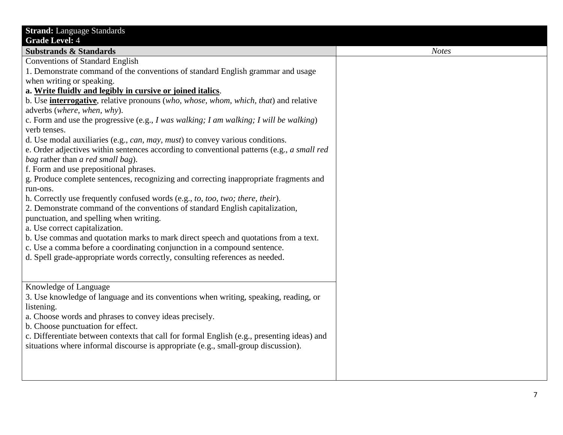| <b>Strand:</b> Language Standards                                                                                                                                                                                                                                                              |              |
|------------------------------------------------------------------------------------------------------------------------------------------------------------------------------------------------------------------------------------------------------------------------------------------------|--------------|
| <b>Grade Level: 4</b>                                                                                                                                                                                                                                                                          |              |
| <b>Substrands &amp; Standards</b>                                                                                                                                                                                                                                                              | <b>Notes</b> |
| <b>Conventions of Standard English</b>                                                                                                                                                                                                                                                         |              |
| 1. Demonstrate command of the conventions of standard English grammar and usage                                                                                                                                                                                                                |              |
| when writing or speaking.                                                                                                                                                                                                                                                                      |              |
| a. Write fluidly and legibly in cursive or joined italics.                                                                                                                                                                                                                                     |              |
| b. Use <i>interrogative</i> , relative pronouns (who, whose, whom, which, that) and relative                                                                                                                                                                                                   |              |
| adverbs (where, when, why).                                                                                                                                                                                                                                                                    |              |
| c. Form and use the progressive (e.g., I was walking; I am walking; I will be walking)                                                                                                                                                                                                         |              |
| verb tenses.                                                                                                                                                                                                                                                                                   |              |
| d. Use modal auxiliaries (e.g., can, may, must) to convey various conditions.                                                                                                                                                                                                                  |              |
| e. Order adjectives within sentences according to conventional patterns (e.g., a small red                                                                                                                                                                                                     |              |
| bag rather than a red small bag).                                                                                                                                                                                                                                                              |              |
| f. Form and use prepositional phrases.                                                                                                                                                                                                                                                         |              |
| g. Produce complete sentences, recognizing and correcting inappropriate fragments and                                                                                                                                                                                                          |              |
| run-ons.                                                                                                                                                                                                                                                                                       |              |
| h. Correctly use frequently confused words (e.g., to, too, two; there, their).                                                                                                                                                                                                                 |              |
| 2. Demonstrate command of the conventions of standard English capitalization,                                                                                                                                                                                                                  |              |
| punctuation, and spelling when writing.                                                                                                                                                                                                                                                        |              |
| a. Use correct capitalization.                                                                                                                                                                                                                                                                 |              |
| b. Use commas and quotation marks to mark direct speech and quotations from a text.                                                                                                                                                                                                            |              |
| c. Use a comma before a coordinating conjunction in a compound sentence.                                                                                                                                                                                                                       |              |
| d. Spell grade-appropriate words correctly, consulting references as needed.                                                                                                                                                                                                                   |              |
|                                                                                                                                                                                                                                                                                                |              |
|                                                                                                                                                                                                                                                                                                |              |
| Knowledge of Language                                                                                                                                                                                                                                                                          |              |
| 3. Use knowledge of language and its conventions when writing, speaking, reading, or                                                                                                                                                                                                           |              |
|                                                                                                                                                                                                                                                                                                |              |
|                                                                                                                                                                                                                                                                                                |              |
|                                                                                                                                                                                                                                                                                                |              |
|                                                                                                                                                                                                                                                                                                |              |
|                                                                                                                                                                                                                                                                                                |              |
|                                                                                                                                                                                                                                                                                                |              |
|                                                                                                                                                                                                                                                                                                |              |
|                                                                                                                                                                                                                                                                                                |              |
| listening.<br>a. Choose words and phrases to convey ideas precisely.<br>b. Choose punctuation for effect.<br>c. Differentiate between contexts that call for formal English (e.g., presenting ideas) and<br>situations where informal discourse is appropriate (e.g., small-group discussion). |              |